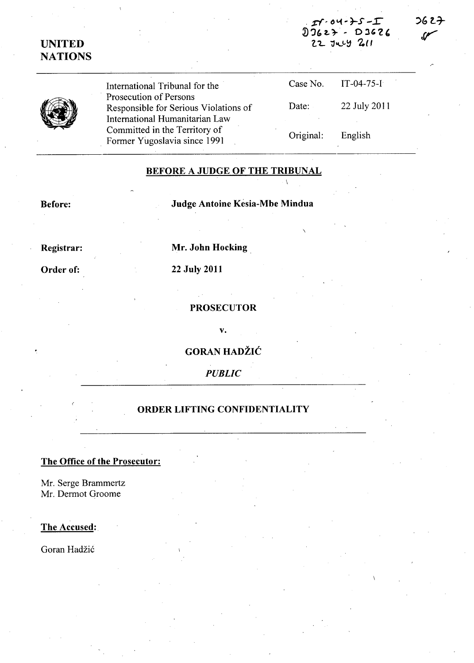# UNITED **NATIONS**

International Tribunal for the . Prosecution of Persons Responsible for Serious Violations of International Humanitarian Law Committed in the Territory of Former Yugoslavia since 1991 Case No. IT-04-75-I Date: 22 July 2011 Original: English

### BEFORE A JUDGE OF THE TRIBUNAL

Before: Judge Antoine Kesia-Mbe Mindua

Registrar: Mr. John Hocking.

Order of: 22 July 2011

PROSECUTOR

v.

**GORAN HADŽIĆ** 

*PUBLIC* 

#### ORDER LIFTING CONFIDENTIALITY

## The Office of the Prosecutor:

Mr. Serge Brammertz Mr. Dermot Groome

The Accused:

Goran Hadžić

 $2627$